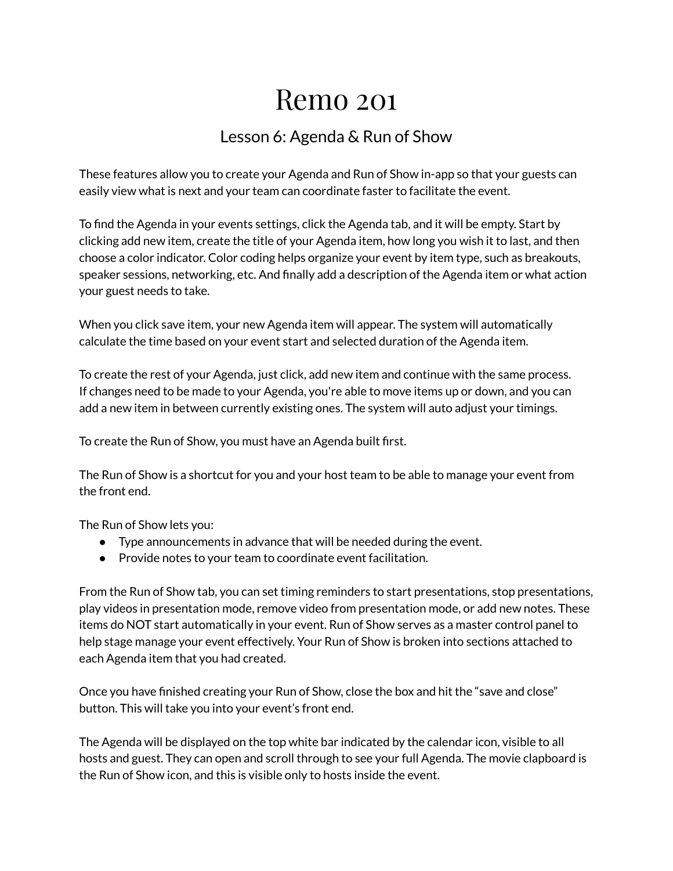## Remo 201

## Lesson 6: Agenda & Run of Show

These features allow you to create your Agenda and Run of Show in-app so that your guests can easily view what is next and your team can coordinate faster to facilitate the event.

To find the Agenda in your events settings, click the Agenda tab, and it will be empty. Start by clicking add new item, create the title of your Agenda item, how long you wish it to last, and then choose a color indicator. Color coding helps organize your event by item type, such as breakouts, speaker sessions, networking, etc. And finally add a description of the Agenda item or what action your guest needs to take.

When you click save item, your new Agenda item will appear. The system will automatically calculate the time based on your event start and selected duration of the Agenda item.

To create the rest of your Agenda, just click, add new item and continue with the same process. If changes need to be made to your Agenda, you're able to move items up or down, and you can add a new item in between currently existing ones. The system will auto adjust your timings.

To create the Run of Show, you must have an Agenda built first.

The Run of Show is a shortcut for you and your host team to be able to manage your event from the front end.

The Run of Show lets you:

- Type announcements in advance that will be needed during the event.
- Provide notes to your team to coordinate event facilitation.

From the Run of Show tab, you can set timing reminders to start presentations, stop presentations, play videos in presentation mode, remove video from presentation mode, or add new notes. These items do NOT start automatically in your event. Run of Show serves as a master control panel to help stage manage your event effectively. Your Run of Show is broken into sections attached to each Agenda item that you had created.

Once you have finished creating your Run of Show, close the box and hit the "save and close" button. This will take you into your event's front end.

The Agenda will be displayed on the top white bar indicated by the calendar icon, visible to all hosts and guest. They can open and scroll through to see your full Agenda. The movie clapboard is the Run of Show icon, and this is visible only to hosts inside the event.